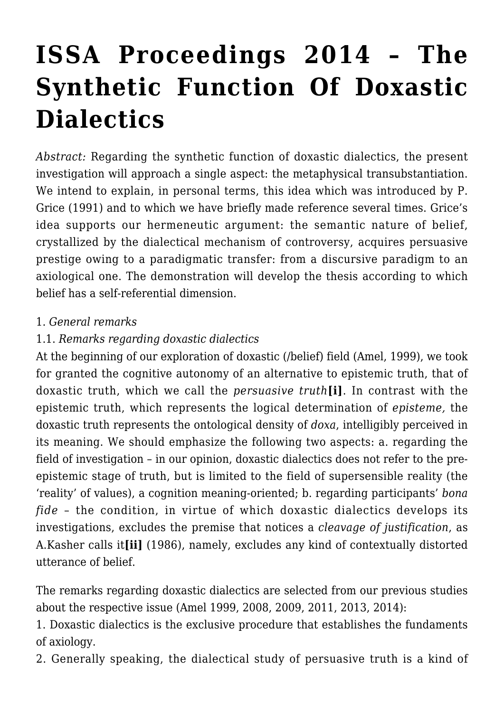# **[ISSA Proceedings 2014 – The](https://rozenbergquarterly.com/issa-proceedings-2014-the-synthetic-function-of-doxastic-dialectics/) [Synthetic Function Of Doxastic](https://rozenbergquarterly.com/issa-proceedings-2014-the-synthetic-function-of-doxastic-dialectics/) [Dialectics](https://rozenbergquarterly.com/issa-proceedings-2014-the-synthetic-function-of-doxastic-dialectics/)**

*Abstract:* Regarding the synthetic function of doxastic dialectics, the present investigation will approach a single aspect: the metaphysical transubstantiation. We intend to explain, in personal terms, this idea which was introduced by P. Grice (1991) and to which we have briefly made reference several times. Grice's idea supports our hermeneutic argument: the semantic nature of belief, crystallized by the dialectical mechanism of controversy, acquires persuasive prestige owing to a paradigmatic transfer: from a discursive paradigm to an axiological one. The demonstration will develop the thesis according to which belief has a self-referential dimension.

#### 1. *General remarks*

#### 1.1. *Remarks regarding doxastic dialectics*

At the beginning of our exploration of doxastic (/belief) field (Amel, 1999), we took for granted the cognitive autonomy of an alternative to epistemic truth, that of doxastic truth, which we call the *persuasive truth***[i]**. In contrast with the epistemic truth, which represents the logical determination of *episteme,* the doxastic truth represents the ontological density of *doxa*, intelligibly perceived in its meaning. We should emphasize the following two aspects: a. regarding the field of investigation – in our opinion, doxastic dialectics does not refer to the preepistemic stage of truth, but is limited to the field of supersensible reality (the 'reality' of values), a cognition meaning-oriented; b. regarding participants' *bona fide* – the condition, in virtue of which doxastic dialectics develops its investigations, excludes the premise that notices a *cleavage of justification*, as A.Kasher calls it**[ii]** (1986), namely, excludes any kind of contextually distorted utterance of belief.

The remarks regarding doxastic dialectics are selected from our previous studies about the respective issue (Amel 1999, 2008, 2009, 2011, 2013, 2014):

1. Doxastic dialectics is the exclusive procedure that establishes the fundaments of axiology.

2. Generally speaking, the dialectical study of persuasive truth is a kind of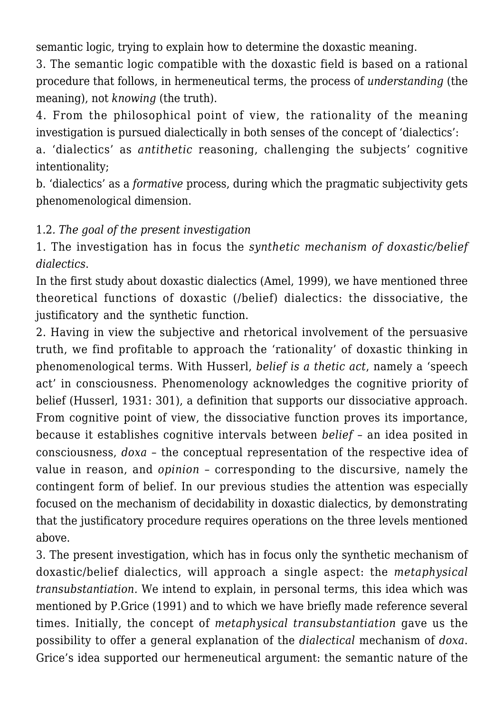semantic logic, trying to explain how to determine the doxastic meaning.

3. The semantic logic compatible with the doxastic field is based on a rational procedure that follows, in hermeneutical terms, the process of *understanding* (the meaning), not *knowing* (the truth).

4. From the philosophical point of view, the rationality of the meaning investigation is pursued dialectically in both senses of the concept of 'dialectics':

a. 'dialectics' as *antithetic* reasoning, challenging the subjects' cognitive intentionality;

b. 'dialectics' as a *formative* process, during which the pragmatic subjectivity gets phenomenological dimension.

#### 1.2*. The goal of the present investigation*

1. The investigation has in focus the *synthetic mechanism of doxastic/belief dialectics*.

In the first study about doxastic dialectics (Amel, 1999), we have mentioned three theoretical functions of doxastic (/belief) dialectics: the dissociative, the justificatory and the synthetic function.

2. Having in view the subjective and rhetorical involvement of the persuasive truth, we find profitable to approach the 'rationality' of doxastic thinking in phenomenological terms. With Husserl, *belief is a thetic act*, namely a 'speech act' in consciousness. Phenomenology acknowledges the cognitive priority of belief (Husserl, 1931: 301), a definition that supports our dissociative approach. From cognitive point of view, the dissociative function proves its importance, because it establishes cognitive intervals between *belief* – an idea posited in consciousness, *doxa* – the conceptual representation of the respective idea of value in reason, and *opinion* – corresponding to the discursive, namely the contingent form of belief. In our previous studies the attention was especially focused on the mechanism of decidability in doxastic dialectics, by demonstrating that the justificatory procedure requires operations on the three levels mentioned above.

3. The present investigation, which has in focus only the synthetic mechanism of doxastic/belief dialectics, will approach a single aspect: the *metaphysical transubstantiation.* We intend to explain, in personal terms, this idea which was mentioned by P.Grice (1991) and to which we have briefly made reference several times. Initially, the concept of *metaphysical transubstantiation* gave us the possibility to offer a general explanation of the *dialectical* mechanism of *doxa*. Grice's idea supported our hermeneutical argument: the semantic nature of the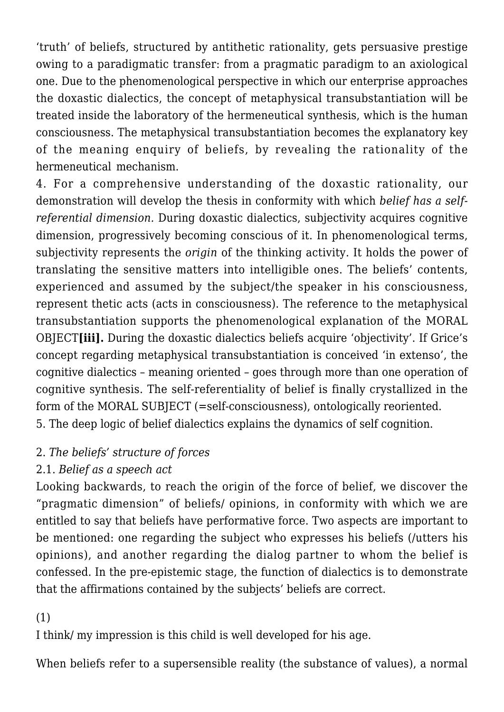'truth' of beliefs, structured by antithetic rationality, gets persuasive prestige owing to a paradigmatic transfer: from a pragmatic paradigm to an axiological one. Due to the phenomenological perspective in which our enterprise approaches the doxastic dialectics, the concept of metaphysical transubstantiation will be treated inside the laboratory of the hermeneutical synthesis, which is the human consciousness. The metaphysical transubstantiation becomes the explanatory key of the meaning enquiry of beliefs, by revealing the rationality of the hermeneutical mechanism.

4. For a comprehensive understanding of the doxastic rationality, our demonstration will develop the thesis in conformity with which *belief has a selfreferential dimension.* During doxastic dialectics, subjectivity acquires cognitive dimension, progressively becoming conscious of it. In phenomenological terms, subjectivity represents the *origin* of the thinking activity. It holds the power of translating the sensitive matters into intelligible ones. The beliefs' contents, experienced and assumed by the subject/the speaker in his consciousness, represent thetic acts (acts in consciousness). The reference to the metaphysical transubstantiation supports the phenomenological explanation of the MORAL OBJECT**[iii].** During the doxastic dialectics beliefs acquire 'objectivity'. If Grice's concept regarding metaphysical transubstantiation is conceived 'in extenso', the cognitive dialectics – meaning oriented – goes through more than one operation of cognitive synthesis. The self-referentiality of belief is finally crystallized in the form of the MORAL SUBJECT (=self-consciousness), ontologically reoriented. 5. The deep logic of belief dialectics explains the dynamics of self cognition.

#### 2. *The beliefs' structure of forces*

# 2.1. *Belief as a speech act*

Looking backwards, to reach the origin of the force of belief, we discover the "pragmatic dimension" of beliefs/ opinions, in conformity with which we are entitled to say that beliefs have performative force. Two aspects are important to be mentioned: one regarding the subject who expresses his beliefs (/utters his opinions), and another regarding the dialog partner to whom the belief is confessed. In the pre-epistemic stage, the function of dialectics is to demonstrate that the affirmations contained by the subjects' beliefs are correct.

# (1)

I think/ my impression is this child is well developed for his age.

When beliefs refer to a supersensible reality (the substance of values), a normal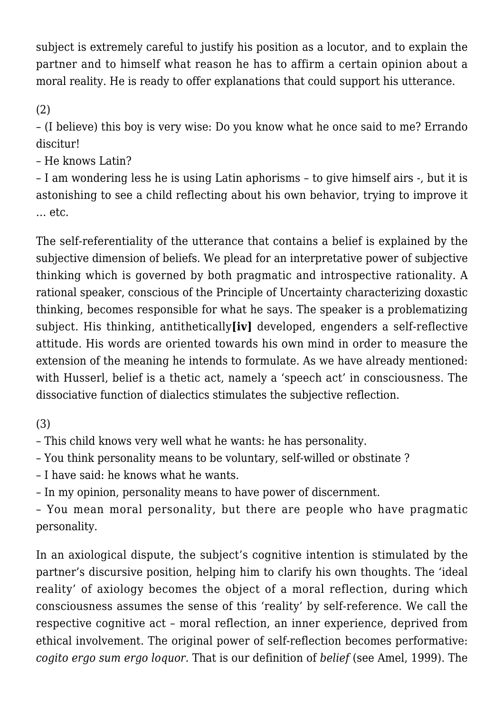subject is extremely careful to justify his position as a locutor, and to explain the partner and to himself what reason he has to affirm a certain opinion about a moral reality. He is ready to offer explanations that could support his utterance.

(2)

– (I believe) this boy is very wise: Do you know what he once said to me? Errando discitur!

– He knows Latin?

– I am wondering less he is using Latin aphorisms – to give himself airs -, but it is astonishing to see a child reflecting about his own behavior, trying to improve it … etc.

The self-referentiality of the utterance that contains a belief is explained by the subjective dimension of beliefs. We plead for an interpretative power of subjective thinking which is governed by both pragmatic and introspective rationality. A rational speaker, conscious of the Principle of Uncertainty characterizing doxastic thinking, becomes responsible for what he says. The speaker is a problematizing subject. His thinking, antithetically**[iv]** developed, engenders a self-reflective attitude. His words are oriented towards his own mind in order to measure the extension of the meaning he intends to formulate. As we have already mentioned: with Husserl, belief is a thetic act, namely a 'speech act' in consciousness. The dissociative function of dialectics stimulates the subjective reflection.

(3)

– This child knows very well what he wants: he has personality.

– You think personality means to be voluntary, self-willed or obstinate ?

– I have said: he knows what he wants.

– In my opinion, personality means to have power of discernment.

– You mean moral personality, but there are people who have pragmatic personality.

In an axiological dispute, the subject's cognitive intention is stimulated by the partner's discursive position, helping him to clarify his own thoughts. The 'ideal reality' of axiology becomes the object of a moral reflection, during which consciousness assumes the sense of this 'reality' by self-reference. We call the respective cognitive act – moral reflection, an inner experience, deprived from ethical involvement. The original power of self-reflection becomes performative: *cogito ergo sum ergo loquor.* That is our definition of *belief* (see Amel, 1999). The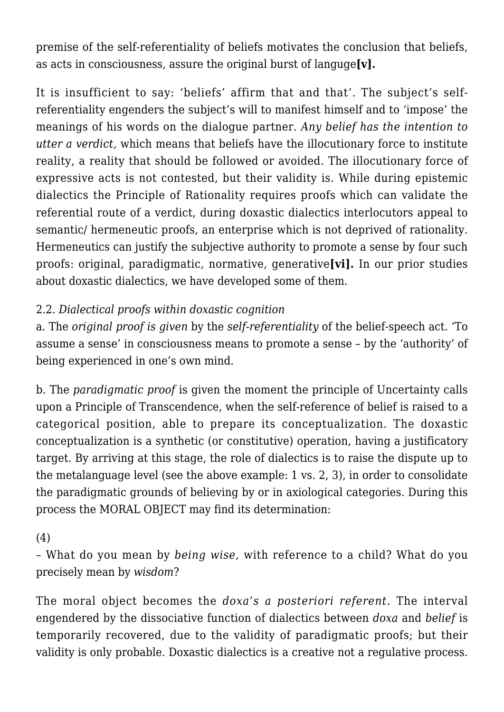premise of the self-referentiality of beliefs motivates the conclusion that beliefs, as acts in consciousness, assure the original burst of languge**[v].**

It is insufficient to say: 'beliefs' affirm that and that'. The subject's selfreferentiality engenders the subject's will to manifest himself and to 'impose' the meanings of his words on the dialogue partner. *Any belief has the intention to utter a verdict,* which means that beliefs have the illocutionary force to institute reality, a reality that should be followed or avoided. The illocutionary force of expressive acts is not contested, but their validity is. While during epistemic dialectics the Principle of Rationality requires proofs which can validate the referential route of a verdict, during doxastic dialectics interlocutors appeal to semantic/ hermeneutic proofs, an enterprise which is not deprived of rationality. Hermeneutics can justify the subjective authority to promote a sense by four such proofs: original, paradigmatic, normative, generative**[vi].** In our prior studies about doxastic dialectics, we have developed some of them.

# 2.2. *Dialectical proofs within doxastic cognition*

a. The *original proof is given* by the *self-referentiality* of the belief-speech act. 'To assume a sense' in consciousness means to promote a sense – by the 'authority' of being experienced in one's own mind.

b. The *paradigmatic proof* is given the moment the principle of Uncertainty calls upon a Principle of Transcendence, when the self-reference of belief is raised to a categorical position, able to prepare its conceptualization. The doxastic conceptualization is a synthetic (or constitutive) operation, having a justificatory target. By arriving at this stage, the role of dialectics is to raise the dispute up to the metalanguage level (see the above example: 1 vs. 2, 3), in order to consolidate the paradigmatic grounds of believing by or in axiological categories. During this process the MORAL OBJECT may find its determination:

(4)

– What do you mean by *being wise*, with reference to a child? What do you precisely mean by *wisdom*?

The moral object becomes the *doxa's a posteriori referent.* The interval engendered by the dissociative function of dialectics between *doxa* and *belief* is temporarily recovered, due to the validity of paradigmatic proofs; but their validity is only probable. Doxastic dialectics is a creative not a regulative process.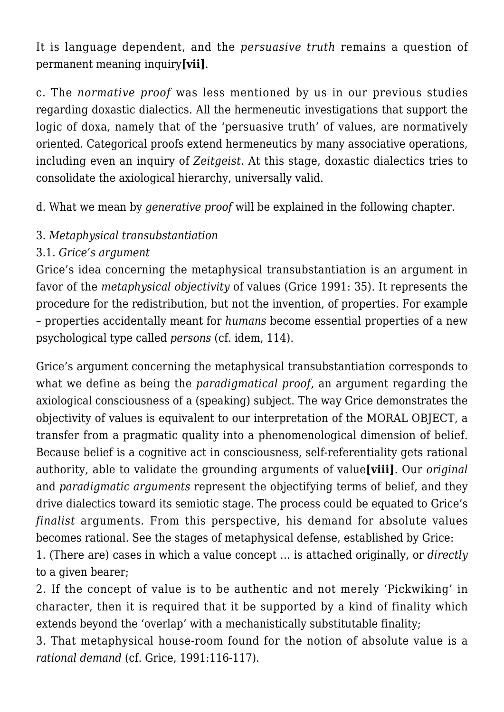It is language dependent, and the *persuasive truth* remains a question of permanent meaning inquiry**[vii]**.

c. The *normative proof* was less mentioned by us in our previous studies regarding doxastic dialectics. All the hermeneutic investigations that support the logic of doxa, namely that of the 'persuasive truth' of values, are normatively oriented. Categorical proofs extend hermeneutics by many associative operations, including even an inquiry of *Zeitgeist*. At this stage, doxastic dialectics tries to consolidate the axiological hierarchy, universally valid.

d. What we mean by *generative proof* will be explained in the following chapter.

# 3. *Metaphysical transubstantiation*

# 3.1. *Grice's argument*

Grice's idea concerning the metaphysical transubstantiation is an argument in favor of the *metaphysical objectivity* of values (Grice 1991: 35). It represents the procedure for the redistribution, but not the invention, of properties. For example – properties accidentally meant for *humans* become essential properties of a new psychological type called *persons* (cf. idem, 114).

Grice's argument concerning the metaphysical transubstantiation corresponds to what we define as being the *paradigmatical proof*, an argument regarding the axiological consciousness of a (speaking) subject. The way Grice demonstrates the objectivity of values is equivalent to our interpretation of the MORAL OBJECT, a transfer from a pragmatic quality into a phenomenological dimension of belief. Because belief is a cognitive act in consciousness, self-referentiality gets rational authority, able to validate the grounding arguments of value**[viii]**. Our *original* and *paradigmatic arguments* represent the objectifying terms of belief, and they drive dialectics toward its semiotic stage. The process could be equated to Grice's *finalist* arguments. From this perspective, his demand for absolute values becomes rational. See the stages of metaphysical defense, established by Grice:

1. (There are) cases in which a value concept … is attached originally, or *directly* to a given bearer;

2. If the concept of value is to be authentic and not merely 'Pickwiking' in character, then it is required that it be supported by a kind of finality which extends beyond the 'overlap' with a mechanistically substitutable finality;

3. That metaphysical house-room found for the notion of absolute value is a *rational demand* (cf. Grice, 1991:116-117).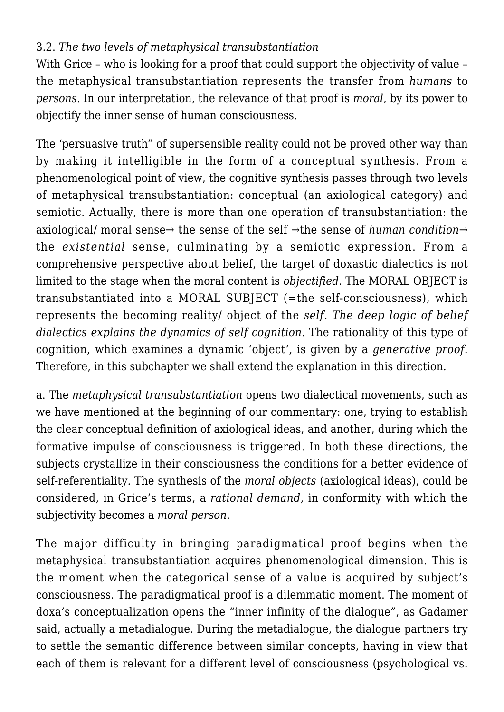# 3.2. *The two levels of metaphysical transubstantiation*

With Grice – who is looking for a proof that could support the objectivity of value – the metaphysical transubstantiation represents the transfer from *humans* to *persons.* In our interpretation, the relevance of that proof is *moral*, by its power to objectify the inner sense of human consciousness.

The 'persuasive truth" of supersensible reality could not be proved other way than by making it intelligible in the form of a conceptual synthesis. From a phenomenological point of view, the cognitive synthesis passes through two levels of metaphysical transubstantiation: conceptual (an axiological category) and semiotic. Actually, there is more than one operation of transubstantiation: the axiological/ moral sense→ the sense of the self →the sense of *human condition*→ the *existential* sense, culminating by a semiotic expression. From a comprehensive perspective about belief, the target of doxastic dialectics is not limited to the stage when the moral content is *objectified.* The MORAL OBJECT is transubstantiated into a MORAL SUBJECT (=the self-consciousness), which represents the becoming reality/ object of the *self. The deep logic of belief dialectics explains the dynamics of self cognition*. The rationality of this type of cognition, which examines a dynamic 'object', is given by a *generative proof.* Therefore, in this subchapter we shall extend the explanation in this direction.

a. The *metaphysical transubstantiation* opens two dialectical movements, such as we have mentioned at the beginning of our commentary: one, trying to establish the clear conceptual definition of axiological ideas, and another, during which the formative impulse of consciousness is triggered. In both these directions, the subjects crystallize in their consciousness the conditions for a better evidence of self-referentiality. The synthesis of the *moral objects* (axiological ideas), could be considered, in Grice's terms, a *rational demand*, in conformity with which the subjectivity becomes a *moral person*.

The major difficulty in bringing paradigmatical proof begins when the metaphysical transubstantiation acquires phenomenological dimension. This is the moment when the categorical sense of a value is acquired by subject's consciousness. The paradigmatical proof is a dilemmatic moment. The moment of doxa's conceptualization opens the "inner infinity of the dialogue", as Gadamer said, actually a metadialogue. During the metadialogue, the dialogue partners try to settle the semantic difference between similar concepts, having in view that each of them is relevant for a different level of consciousness (psychological vs.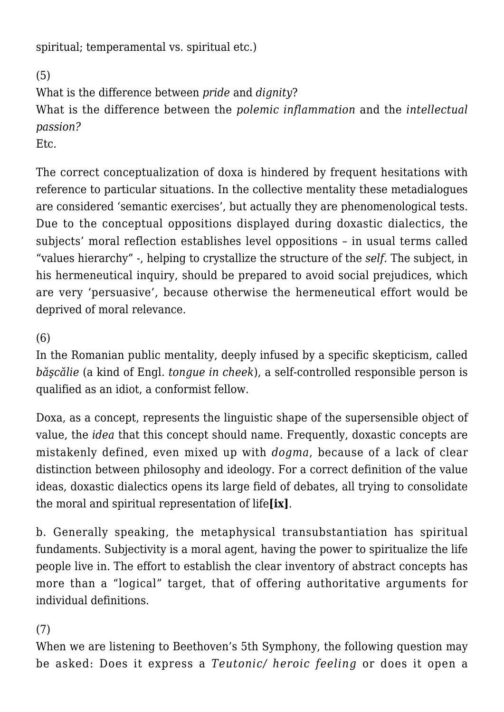spiritual; temperamental vs. spiritual etc.)

(5)

What is the difference between *pride* and *dignity*?

What is the difference between the *polemic inflammation* and the *intellectual passion?*

Etc.

The correct conceptualization of doxa is hindered by frequent hesitations with reference to particular situations. In the collective mentality these metadialogues are considered 'semantic exercises', but actually they are phenomenological tests. Due to the conceptual oppositions displayed during doxastic dialectics, the subjects' moral reflection establishes level oppositions – in usual terms called "values hierarchy" -, helping to crystallize the structure of the *self.* The subject, in his hermeneutical inquiry, should be prepared to avoid social prejudices, which are very 'persuasive', because otherwise the hermeneutical effort would be deprived of moral relevance.

(6)

In the Romanian public mentality, deeply infused by a specific skepticism, called *băşcălie* (a kind of Engl. *tongue in cheek*), a self-controlled responsible person is qualified as an idiot, a conformist fellow.

Doxa, as a concept, represents the linguistic shape of the supersensible object of value, the *idea* that this concept should name. Frequently, doxastic concepts are mistakenly defined, even mixed up with *dogma*, because of a lack of clear distinction between philosophy and ideology. For a correct definition of the value ideas, doxastic dialectics opens its large field of debates, all trying to consolidate the moral and spiritual representation of life**[ix]**.

b. Generally speaking, the metaphysical transubstantiation has spiritual fundaments. Subjectivity is a moral agent, having the power to spiritualize the life people live in. The effort to establish the clear inventory of abstract concepts has more than a "logical" target, that of offering authoritative arguments for individual definitions.

# (7)

When we are listening to Beethoven's 5th Symphony, the following question may be asked: Does it express a *Teutonic/ heroic feeling* or does it open a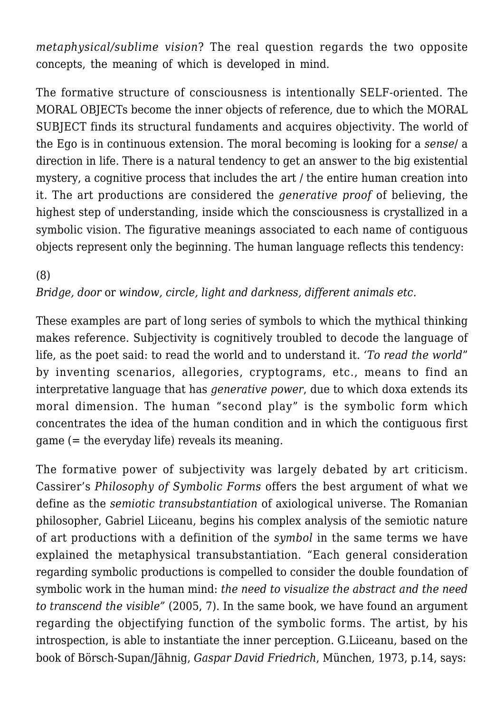*metaphysical/sublime vision*? The real question regards the two opposite concepts, the meaning of which is developed in mind.

The formative structure of consciousness is intentionally SELF-oriented. The MORAL OBJECTs become the inner objects of reference, due to which the MORAL SUBJECT finds its structural fundaments and acquires objectivity. The world of the Ego is in continuous extension. The moral becoming is looking for a *sense*/ a direction in life. There is a natural tendency to get an answer to the big existential mystery, a cognitive process that includes the art / the entire human creation into it. The art productions are considered the *generative proof* of believing, the highest step of understanding, inside which the consciousness is crystallized in a symbolic vision. The figurative meanings associated to each name of contiguous objects represent only the beginning. The human language reflects this tendency:

#### (8) *Bridge, door* or *window, circle, light and darkness, different animals etc.*

These examples are part of long series of symbols to which the mythical thinking makes reference. Subjectivity is cognitively troubled to decode the language of life, as the poet said: to read the world and to understand it. *'To read the world*" by inventing scenarios, allegories, cryptograms, etc., means to find an interpretative language that has *generative power*, due to which doxa extends its moral dimension. The human "second play" is the symbolic form which concentrates the idea of the human condition and in which the contiguous first game (= the everyday life) reveals its meaning.

The formative power of subjectivity was largely debated by art criticism. Cassirer's *Philosophy of Symbolic Forms* offers the best argument of what we define as the *semiotic transubstantiation* of axiological universe. The Romanian philosopher, Gabriel Liiceanu, begins his complex analysis of the semiotic nature of art productions with a definition of the *symbol* in the same terms we have explained the metaphysical transubstantiation. "Each general consideration regarding symbolic productions is compelled to consider the double foundation of symbolic work in the human mind: *the need to visualize the abstract and the need to transcend the visible"* (2005, 7). In the same book, we have found an argument regarding the objectifying function of the symbolic forms. The artist, by his introspection, is able to instantiate the inner perception. G.Liiceanu, based on the book of Börsch-Supan/Jähnig, *Gaspar David Friedrich*, München, 1973, p.14, says: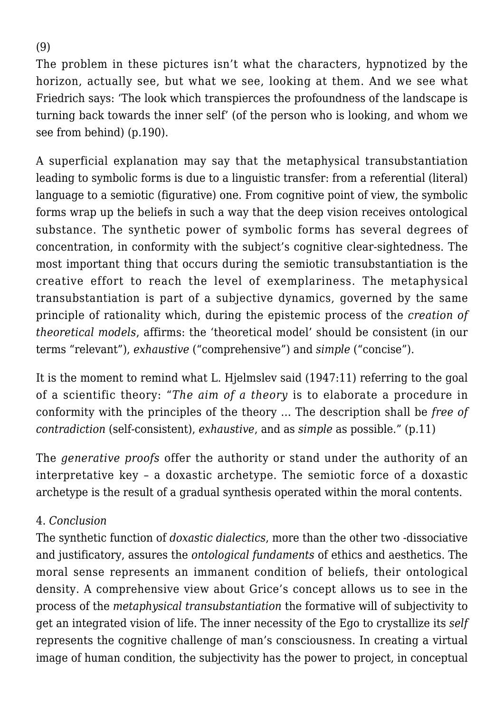(9)

The problem in these pictures isn't what the characters, hypnotized by the horizon, actually see, but what we see, looking at them. And we see what Friedrich says: 'The look which transpierces the profoundness of the landscape is turning back towards the inner self' (of the person who is looking, and whom we see from behind) (p.190).

A superficial explanation may say that the metaphysical transubstantiation leading to symbolic forms is due to a linguistic transfer: from a referential (literal) language to a semiotic (figurative) one. From cognitive point of view, the symbolic forms wrap up the beliefs in such a way that the deep vision receives ontological substance. The synthetic power of symbolic forms has several degrees of concentration, in conformity with the subject's cognitive clear-sightedness. The most important thing that occurs during the semiotic transubstantiation is the creative effort to reach the level of exemplariness. The metaphysical transubstantiation is part of a subjective dynamics, governed by the same principle of rationality which, during the epistemic process of the *creation of theoretical models*, affirms: the 'theoretical model' should be consistent (in our terms "relevant"), *exhaustive* ("comprehensive") and *simple* ("concise").

It is the moment to remind what L. Hjelmslev said (1947:11) referring to the goal of a scientific theory: "*The aim of a theory* is to elaborate a procedure in conformity with the principles of the theory … The description shall be *free of contradiction* (self-consistent), *exhaustive*, and as *simple* as possible." (p.11)

The *generative proofs* offer the authority or stand under the authority of an interpretative key – a doxastic archetype. The semiotic force of a doxastic archetype is the result of a gradual synthesis operated within the moral contents.

#### 4. *Conclusion*

The synthetic function of *doxastic dialectics*, more than the other two -dissociative and justificatory, assures the *ontological fundaments* of ethics and aesthetics. The moral sense represents an immanent condition of beliefs, their ontological density. A comprehensive view about Grice's concept allows us to see in the process of the *metaphysical transubstantiation* the formative will of subjectivity to get an integrated vision of life. The inner necessity of the Ego to crystallize its *self* represents the cognitive challenge of man's consciousness. In creating a virtual image of human condition, the subjectivity has the power to project, in conceptual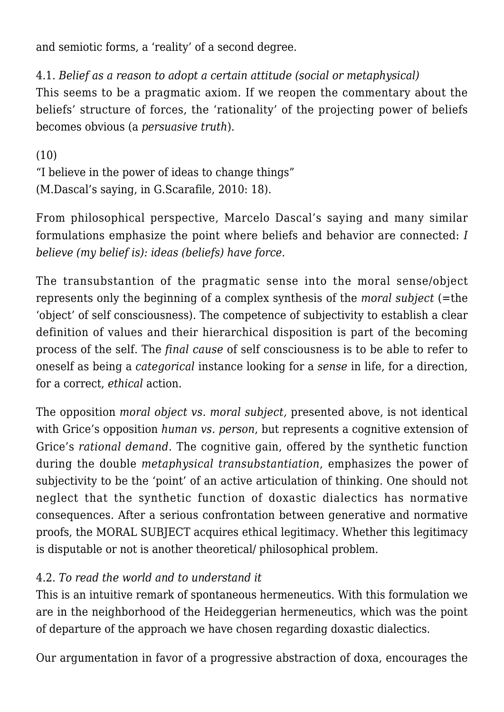and semiotic forms, a 'reality' of a second degree.

#### 4.1. *Belief as a reason to adopt a certain attitude (social or metaphysical)*

This seems to be a pragmatic axiom. If we reopen the commentary about the beliefs' structure of forces, the 'rationality' of the projecting power of beliefs becomes obvious (a *persuasive truth*).

```
(10)
```
"I believe in the power of ideas to change things" (M.Dascal's saying, in G.Scarafile, 2010: 18).

From philosophical perspective, Marcelo Dascal's saying and many similar formulations emphasize the point where beliefs and behavior are connected: *I believe (my belief is): ideas (beliefs) have force.*

The transubstantion of the pragmatic sense into the moral sense/object represents only the beginning of a complex synthesis of the *moral subject* (=the 'object' of self consciousness). The competence of subjectivity to establish a clear definition of values and their hierarchical disposition is part of the becoming process of the self. The *final cause* of self consciousness is to be able to refer to oneself as being a *categorical* instance looking for a *sense* in life, for a direction, for a correct, *ethical* action.

The opposition *moral object vs. moral subject,* presented above, is not identical with Grice's opposition *human vs. person*, but represents a cognitive extension of Grice's *rational demand.* The cognitive gain, offered by the synthetic function during the double *metaphysical transubstantiation*, emphasizes the power of subjectivity to be the 'point' of an active articulation of thinking. One should not neglect that the synthetic function of doxastic dialectics has normative consequences. After a serious confrontation between generative and normative proofs, the MORAL SUBJECT acquires ethical legitimacy. Whether this legitimacy is disputable or not is another theoretical/ philosophical problem.

# 4.2. *To read the world and to understand it*

This is an intuitive remark of spontaneous hermeneutics. With this formulation we are in the neighborhood of the Heideggerian hermeneutics, which was the point of departure of the approach we have chosen regarding doxastic dialectics.

Our argumentation in favor of a progressive abstraction of doxa, encourages the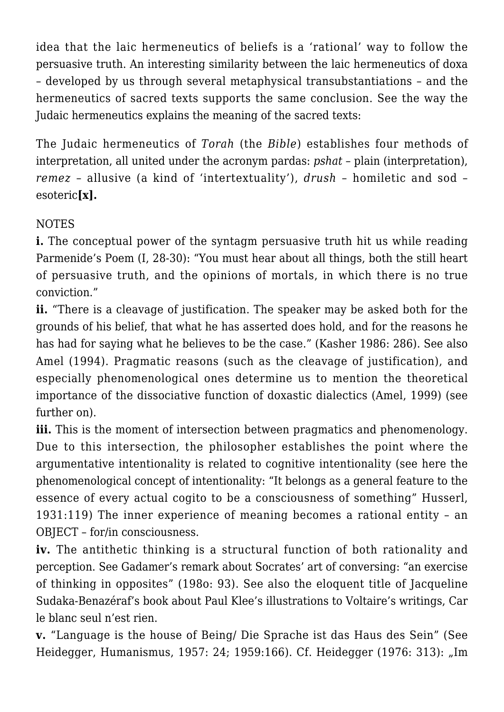idea that the laic hermeneutics of beliefs is a 'rational' way to follow the persuasive truth. An interesting similarity between the laic hermeneutics of doxa – developed by us through several metaphysical transubstantiations – and the hermeneutics of sacred texts supports the same conclusion. See the way the Judaic hermeneutics explains the meaning of the sacred texts:

The Judaic hermeneutics of *Torah* (the *Bible*) establishes four methods of interpretation, all united under the acronym pardas: *pshat* – plain (interpretation), *remez* – allusive (a kind of 'intertextuality'), *drush* – homiletic and sod – esoteric**[x].**

# NOTES

**i.** The conceptual power of the syntagm persuasive truth hit us while reading Parmenide's Poem (I, 28-30): "You must hear about all things, both the still heart of persuasive truth, and the opinions of mortals, in which there is no true conviction."

**ii.** "There is a cleavage of justification. The speaker may be asked both for the grounds of his belief, that what he has asserted does hold, and for the reasons he has had for saying what he believes to be the case." (Kasher 1986: 286). See also Amel (1994). Pragmatic reasons (such as the cleavage of justification), and especially phenomenological ones determine us to mention the theoretical importance of the dissociative function of doxastic dialectics (Amel, 1999) (see further on).

**iii.** This is the moment of intersection between pragmatics and phenomenology. Due to this intersection, the philosopher establishes the point where the argumentative intentionality is related to cognitive intentionality (see here the phenomenological concept of intentionality: "It belongs as a general feature to the essence of every actual cogito to be a consciousness of something" Husserl, 1931:119) The inner experience of meaning becomes a rational entity – an OBJECT – for/in consciousness.

**iv.** The antithetic thinking is a structural function of both rationality and perception. See Gadamer's remark about Socrates' art of conversing: "an exercise of thinking in opposites" (198o: 93). See also the eloquent title of Jacqueline Sudaka-Benazéraf's book about Paul Klee's illustrations to Voltaire's writings, Car le blanc seul n'est rien.

**v.** "Language is the house of Being/ Die Sprache ist das Haus des Sein" (See Heidegger, Humanismus, 1957: 24; 1959:166). Cf. Heidegger (1976: 313): "Im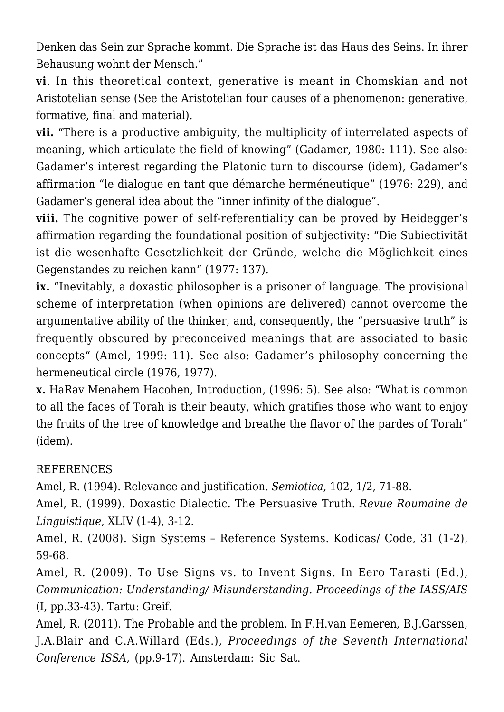Denken das Sein zur Sprache kommt. Die Sprache ist das Haus des Seins. In ihrer Behausung wohnt der Mensch."

**vi**. In this theoretical context, generative is meant in Chomskian and not Aristotelian sense (See the Aristotelian four causes of a phenomenon: generative, formative, final and material).

**vii.** "There is a productive ambiguity, the multiplicity of interrelated aspects of meaning, which articulate the field of knowing" (Gadamer, 1980: 111). See also: Gadamer's interest regarding the Platonic turn to discourse (idem), Gadamer's affirmation "le dialogue en tant que démarche herméneutique" (1976: 229), and Gadamer's general idea about the "inner infinity of the dialogue".

**viii.** The cognitive power of self-referentiality can be proved by Heidegger's affirmation regarding the foundational position of subjectivity: "Die Subiectivität ist die wesenhafte Gesetzlichkeit der Gründe, welche die Möglichkeit eines Gegenstandes zu reichen kann" (1977: 137).

**ix.** "Inevitably, a doxastic philosopher is a prisoner of language. The provisional scheme of interpretation (when opinions are delivered) cannot overcome the argumentative ability of the thinker, and, consequently, the "persuasive truth" is frequently obscured by preconceived meanings that are associated to basic concepts" (Amel, 1999: 11). See also: Gadamer's philosophy concerning the hermeneutical circle (1976, 1977).

**x.** HaRav Menahem Hacohen, Introduction, (1996: 5). See also: "What is common to all the faces of Torah is their beauty, which gratifies those who want to enjoy the fruits of the tree of knowledge and breathe the flavor of the pardes of Torah" (idem).

#### REFERENCES

Amel, R. (1994). Relevance and justification. *Semiotica*, 102, 1/2, 71-88.

Amel, R. (1999). Doxastic Dialectic. The Persuasive Truth. *Revue Roumaine de Linguistique*, XLIV (1-4), 3-12.

Amel, R. (2008). Sign Systems – Reference Systems. Kodicas/ Code, 31 (1-2), 59-68.

Amel, R. (2009). To Use Signs vs. to Invent Signs. In Eero Tarasti (Ed.), *Communication: Understanding/ Misunderstanding. Proceedings of the IASS/AIS* (I, pp.33-43). Tartu: Greif.

Amel, R. (2011). The Probable and the problem. In F.H.van Eemeren, B.J.Garssen, J.A.Blair and C.A.Willard (Eds.), *Proceedings of the Seventh International Conference ISSA*, (pp.9-17). Amsterdam: Sic Sat.